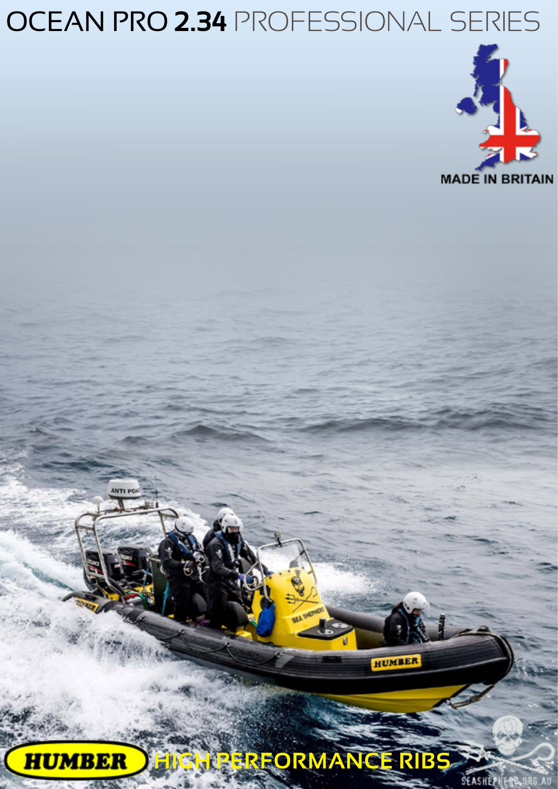# OCEAN PRO **2.34** PROFESSIONAL SERIES



**HIGH PERFORMANCE RIBSHUMBER** 

HUMBER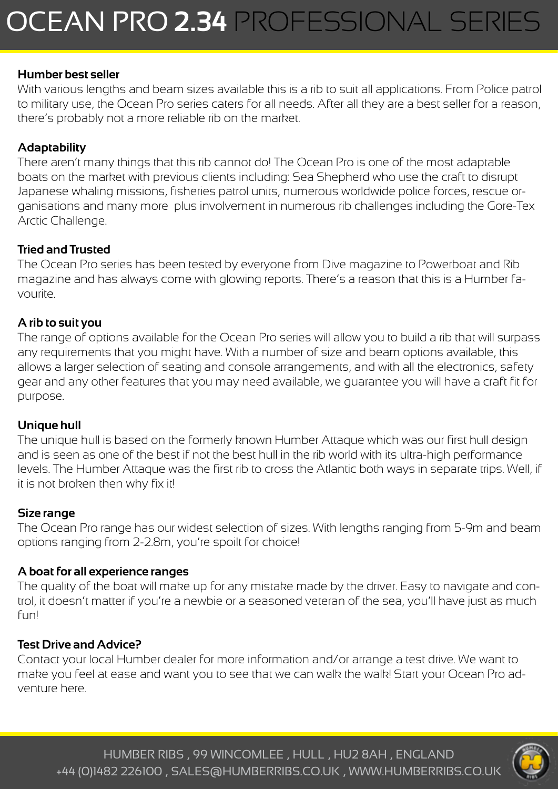#### **Humber best seller**

With various lengths and beam sizes available this is a rib to suit all applications. From Police patrol to military use, the Ocean Pro series caters for all needs. After all they are a best seller for a reason, there's probably not a more reliable rib on the market.

# **Adaptability**

There aren't many things that this rib cannot do! The Ocean Pro is one of the most adaptable boats on the market with previous clients including: Sea Shepherd who use the craft to disrupt Japanese whaling missions, fisheries patrol units, numerous worldwide police forces, rescue organisations and many more plus involvement in numerous rib challenges including the Gore-Tex Arctic Challenge.

## **Tried and Trusted**

The Ocean Pro series has been tested by everyone from Dive magazine to Powerboat and Rib magazine and has always come with glowing reports. There's a reason that this is a Humber favourite.

### **A rib to suit you**

The range of options available for the Ocean Pro series will allow you to build a rib that will surpass any requirements that you might have. With a number of size and beam options available, this allows a larger selection of seating and console arrangements, and with all the electronics, safety gear and any other features that you may need available, we guarantee you will have a craft fit for purpose.

#### **Unique hull**

The unique hull is based on the formerly known Humber Attaque which was our first hull design and is seen as one of the best if not the best hull in the rib world with its ultra-high performance levels. The Humber Attaque was the first rib to cross the Atlantic both ways in separate trips. Well, if it is not broken then why fix it!

#### **Size range**

The Ocean Pro range has our widest selection of sizes. With lengths ranging from 5-9m and beam options ranging from 2-2.8m, you're spoilt for choice!

#### **A boat for all experience ranges**

The quality of the boat will make up for any mistake made by the driver. Easy to navigate and control, it doesn't matter if you're a newbie or a seasoned veteran of the sea, you'll have just as much fun!

#### **Test Drive and Advice?**

Contact your local Humber dealer for more information and/or arrange a test drive. We want to make you feel at ease and want you to see that we can walk the walk! Start your Ocean Pro adventure here.

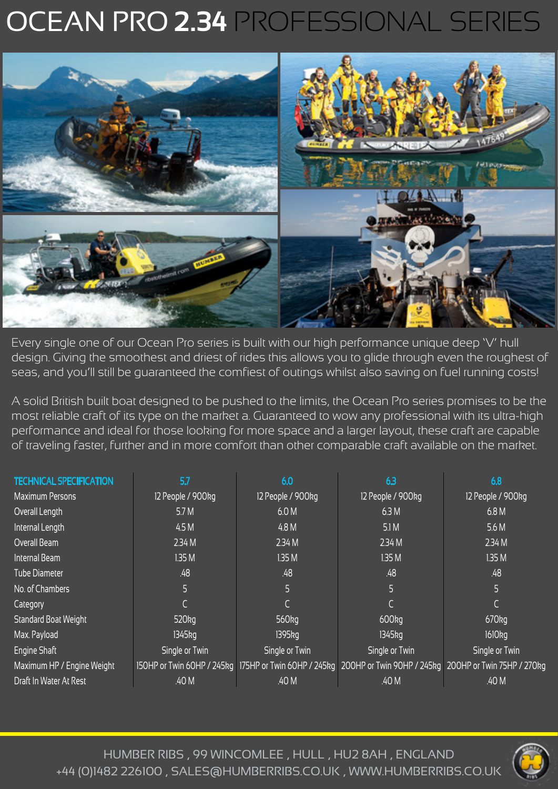# OCEAN PRO **2.34** PROFESSIONAL SERIES



Every single one of our Ocean Pro series is built with our high performance unique deep 'V' hull design. Giving the smoothest and driest of rides this allows you to glide through even the roughest of seas, and you'll still be guaranteed the comfiest of outings whilst also saving on fuel running costs!

A solid British built boat designed to be pushed to the limits, the Ocean Pro series promises to be the most reliable craft of its type on the market a. Guaranteed to wow any professional with its ultra-high performance and ideal for those looking for more space and a larger layout, these craft are capable of traveling faster, further and in more comfort than other comparable craft available on the market.

| <b>TECHNICAL SPECIFICATION</b> | 5.7                  | 6.0               | 6.3                                                                                                         | 6.8                 |
|--------------------------------|----------------------|-------------------|-------------------------------------------------------------------------------------------------------------|---------------------|
| <b>Maximum Persons</b>         | 12 People / 900kg    | 12 People / 900kg | 12 People / 900kg                                                                                           | 12 People / 900kg   |
| Overall Length                 | 5.7M                 | 6.0 M             | 6.3M                                                                                                        | 6.8 M               |
| Internal Length                | 4.5 M                | 4.8 M             | 5.1M                                                                                                        | 5.6 M               |
| Overall Beam                   | 2.34M                | 2.34M             | 2.34M                                                                                                       | 2.34M               |
| Internal Beam                  | 1.35M                | 1.35M             | 1.35M                                                                                                       | 1.35M               |
| <b>Tube Diameter</b>           | .48                  | .48               | .48                                                                                                         | .48                 |
| No. of Chambers                | 5                    | 5                 | 5                                                                                                           | 5                   |
| Category                       |                      |                   |                                                                                                             |                     |
| <b>Standard Boat Weight</b>    | 520 <sub>kg</sub>    | 560 <sub>kg</sub> | 600 <sub>kg</sub>                                                                                           | $670$ <sub>kg</sub> |
| Max. Payload                   | $1345$ <sub>kg</sub> | 1395kg            | 1345kg                                                                                                      | 1610 <sub>kg</sub>  |
| Engine Shaft                   | Single or Twin       | Single or Twin    | Single or Twin                                                                                              | Single or Twin      |
| Maximum HP / Engine Weight     |                      |                   | 150HP or Twin 60HP / 245kg 175HP or Twin 60HP / 245kg 200HP or Twin 90HP / 245kg 200HP or Twin 75HP / 270kg |                     |
| Draft In Water At Rest         | .40 M                | .40 M             | .40 M                                                                                                       | .40 M               |